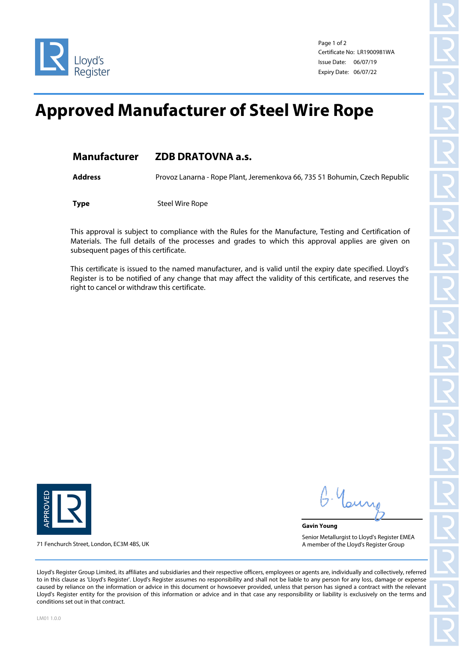

Page 1 of 2 Certificate No: LR1900981WA Issue Date: 06/07/19 Expiry Date: 06/07/22

## **Approved Manufacturer of Steel Wire Rope**

## **Manufacturer ZDB DRATOVNA a.s.**

**Address** Provoz Lanarna - Rope Plant, Jeremenkova 66, 735 51 Bohumin, Czech Republic

**Type** Steel Wire Rope

This approval is subject to compliance with the Rules for the Manufacture, Testing and Certification of Materials. The full details of the processes and grades to which this approval applies are given on subsequent pages of this certificate.

This certificate is issued to the named manufacturer, and is valid until the expiry date specified. Lloyd's Register is to be notified of any change that may affect the validity of this certificate, and reserves the right to cancel or withdraw this certificate.



71 Fenchurch Street, London, EC3M 4BS, UK

**Gavin Young** Senior Metallurgist to Lloyd's Register EMEA A member of the Lloyd's Register Group

Lloyd's Register Group Limited, its affiliates and subsidiaries and their respective officers, employees or agents are, individually and collectively, referred to in this clause as 'Lloyd's Register'. Lloyd's Register assumes no responsibility and shall not be liable to any person for any loss, damage or expense caused by reliance on the information or advice in this document or howsoever provided, unless that person has signed a contract with the relevant Lloyd's Register entity for the provision of this information or advice and in that case any responsibility or liability is exclusively on the terms and conditions set out in that contract.